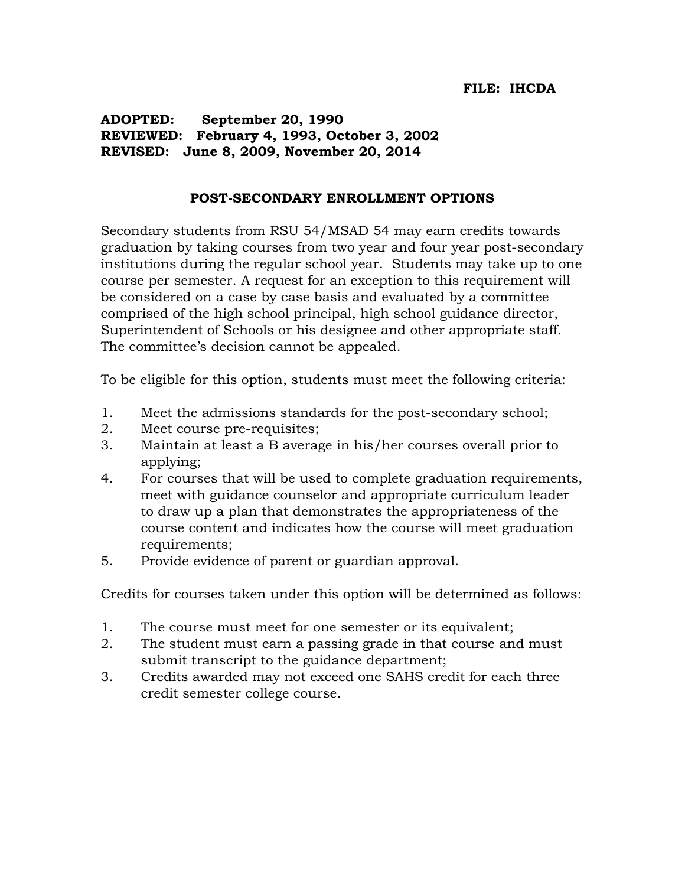**ADOPTED: September 20, 1990 REVIEWED: February 4, 1993, October 3, 2002 REVISED: June 8, 2009, November 20, 2014**

## **POST-SECONDARY ENROLLMENT OPTIONS**

Secondary students from RSU 54/MSAD 54 may earn credits towards graduation by taking courses from two year and four year post-secondary institutions during the regular school year. Students may take up to one course per semester. A request for an exception to this requirement will be considered on a case by case basis and evaluated by a committee comprised of the high school principal, high school guidance director, Superintendent of Schools or his designee and other appropriate staff. The committee's decision cannot be appealed.

To be eligible for this option, students must meet the following criteria:

- 1. Meet the admissions standards for the post-secondary school;
- 2. Meet course pre-requisites;
- 3. Maintain at least a B average in his/her courses overall prior to applying;
- 4. For courses that will be used to complete graduation requirements, meet with guidance counselor and appropriate curriculum leader to draw up a plan that demonstrates the appropriateness of the course content and indicates how the course will meet graduation requirements;
- 5. Provide evidence of parent or guardian approval.

Credits for courses taken under this option will be determined as follows:

- 1. The course must meet for one semester or its equivalent;
- 2. The student must earn a passing grade in that course and must submit transcript to the guidance department;
- 3. Credits awarded may not exceed one SAHS credit for each three credit semester college course.